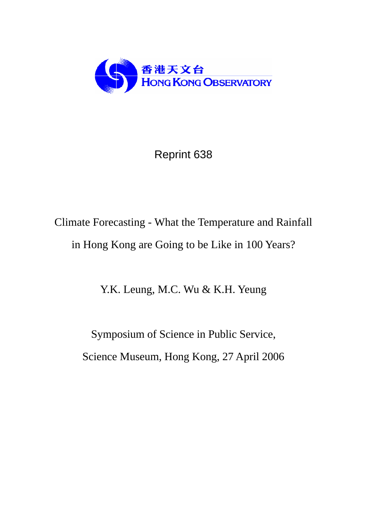

## Reprint 638

# Climate Forecasting - What the Temperature and Rainfall in Hong Kong are Going to be Like in 100 Years?

Y.K. Leung, M.C. Wu & K.H. Yeung

Symposium of Science in Public Service, Science Museum, Hong Kong, 27 April 2006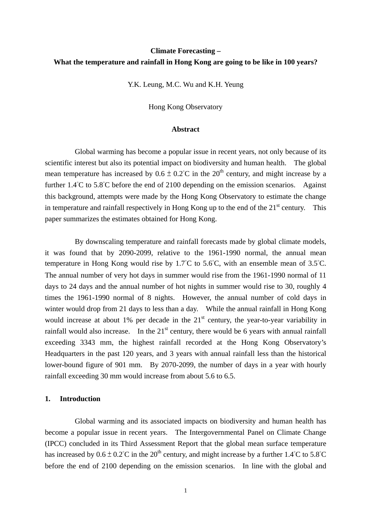### **Climate Forecasting – What the temperature and rainfall in Hong Kong are going to be like in 100 years?**

Y.K. Leung, M.C. Wu and K.H. Yeung

Hong Kong Observatory

#### **Abstract**

 Global warming has become a popular issue in recent years, not only because of its scientific interest but also its potential impact on biodiversity and human health. The global mean temperature has increased by  $0.6 \pm 0.2^{\circ}$ C in the  $20^{th}$  century, and might increase by a further 1.4°C to 5.8°C before the end of 2100 depending on the emission scenarios. Against this background, attempts were made by the Hong Kong Observatory to estimate the change in temperature and rainfall respectively in Hong Kong up to the end of the  $21<sup>st</sup>$  century. This paper summarizes the estimates obtained for Hong Kong.

 By downscaling temperature and rainfall forecasts made by global climate models, it was found that by 2090-2099, relative to the 1961-1990 normal, the annual mean temperature in Hong Kong would rise by 1.7°C to 5.6°C, with an ensemble mean of 3.5°C. The annual number of very hot days in summer would rise from the 1961-1990 normal of 11 days to 24 days and the annual number of hot nights in summer would rise to 30, roughly 4 times the 1961-1990 normal of 8 nights. However, the annual number of cold days in winter would drop from 21 days to less than a day. While the annual rainfall in Hong Kong would increase at about 1% per decade in the  $21<sup>st</sup>$  century, the year-to-year variability in rainfall would also increase. In the  $21<sup>st</sup>$  century, there would be 6 years with annual rainfall exceeding 3343 mm, the highest rainfall recorded at the Hong Kong Observatory's Headquarters in the past 120 years, and 3 years with annual rainfall less than the historical lower-bound figure of 901 mm. By 2070-2099, the number of days in a year with hourly rainfall exceeding 30 mm would increase from about 5.6 to 6.5.

#### **1. Introduction**

Global warming and its associated impacts on biodiversity and human health has become a popular issue in recent years. The Intergovernmental Panel on Climate Change (IPCC) concluded in its Third Assessment Report that the global mean surface temperature has increased by  $0.6 \pm 0.2^{\circ}$ C in the  $20^{th}$  century, and might increase by a further 1.4°C to 5.8°C before the end of 2100 depending on the emission scenarios. In line with the global and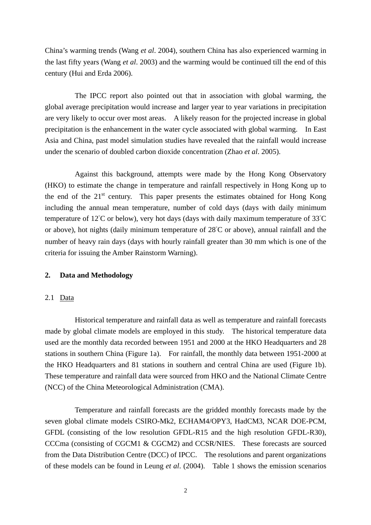China's warming trends (Wang *et al*. 2004), southern China has also experienced warming in the last fifty years (Wang *et al*. 2003) and the warming would be continued till the end of this century (Hui and Erda 2006).

The IPCC report also pointed out that in association with global warming, the global average precipitation would increase and larger year to year variations in precipitation are very likely to occur over most areas. A likely reason for the projected increase in global precipitation is the enhancement in the water cycle associated with global warming. In East Asia and China, past model simulation studies have revealed that the rainfall would increase under the scenario of doubled carbon dioxide concentration (Zhao *et al*. 2005).

Against this background, attempts were made by the Hong Kong Observatory (HKO) to estimate the change in temperature and rainfall respectively in Hong Kong up to the end of the  $21<sup>st</sup>$  century. This paper presents the estimates obtained for Hong Kong including the annual mean temperature, number of cold days (days with daily minimum temperature of 12°C or below), very hot days (days with daily maximum temperature of 33°C or above), hot nights (daily minimum temperature of 28°C or above), annual rainfall and the number of heavy rain days (days with hourly rainfall greater than 30 mm which is one of the criteria for issuing the Amber Rainstorm Warning).

#### **2. Data and Methodology**

#### 2.1 Data

Historical temperature and rainfall data as well as temperature and rainfall forecasts made by global climate models are employed in this study. The historical temperature data used are the monthly data recorded between 1951 and 2000 at the HKO Headquarters and 28 stations in southern China (Figure 1a). For rainfall, the monthly data between 1951-2000 at the HKO Headquarters and 81 stations in southern and central China are used (Figure 1b). These temperature and rainfall data were sourced from HKO and the National Climate Centre (NCC) of the China Meteorological Administration (CMA).

Temperature and rainfall forecasts are the gridded monthly forecasts made by the seven global climate models CSIRO-Mk2, ECHAM4/OPY3, HadCM3, NCAR DOE-PCM, GFDL (consisting of the low resolution GFDL-R15 and the high resolution GFDL-R30), CCCma (consisting of CGCM1 & CGCM2) and CCSR/NIES. These forecasts are sourced from the Data Distribution Centre (DCC) of IPCC. The resolutions and parent organizations of these models can be found in Leung *et al*. (2004). Table 1 shows the emission scenarios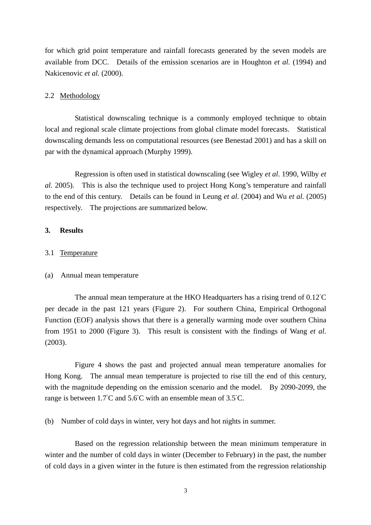for which grid point temperature and rainfall forecasts generated by the seven models are available from DCC. Details of the emission scenarios are in Houghton *et al.* (1994) and Nakicenovic *et al.* (2000).

#### 2.2 Methodology

Statistical downscaling technique is a commonly employed technique to obtain local and regional scale climate projections from global climate model forecasts. Statistical downscaling demands less on computational resources (see Benestad 2001) and has a skill on par with the dynamical approach (Murphy 1999).

Regression is often used in statistical downscaling (see Wigley *et al*. 1990, Wilby *et al.* 2005). This is also the technique used to project Hong Kong's temperature and rainfall to the end of this century. Details can be found in Leung *et al.* (2004) and Wu *et al.* (2005) respectively. The projections are summarized below.

#### **3. Results**

#### 3.1 Temperature

#### (a) Annual mean temperature

The annual mean temperature at the HKO Headquarters has a rising trend of 0.12°C per decade in the past 121 years (Figure 2). For southern China, Empirical Orthogonal Function (EOF) analysis shows that there is a generally warming mode over southern China from 1951 to 2000 (Figure 3). This result is consistent with the findings of Wang *et al*. (2003).

Figure 4 shows the past and projected annual mean temperature anomalies for Hong Kong. The annual mean temperature is projected to rise till the end of this century, with the magnitude depending on the emission scenario and the model. By 2090-2099, the range is between 1.7°C and 5.6°C with an ensemble mean of 3.5°C.

(b) Number of cold days in winter, very hot days and hot nights in summer.

Based on the regression relationship between the mean minimum temperature in winter and the number of cold days in winter (December to February) in the past, the number of cold days in a given winter in the future is then estimated from the regression relationship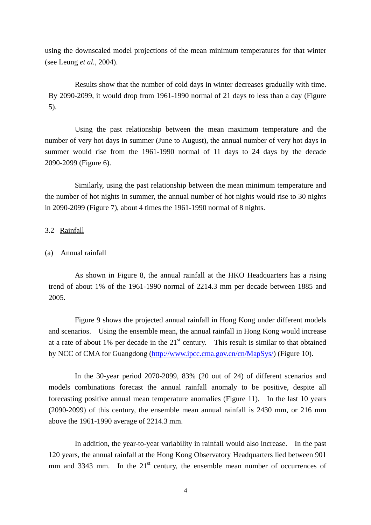using the downscaled model projections of the mean minimum temperatures for that winter (see Leung *et al.*, 2004).

Results show that the number of cold days in winter decreases gradually with time. By 2090-2099, it would drop from 1961-1990 normal of 21 days to less than a day (Figure 5).

Using the past relationship between the mean maximum temperature and the number of very hot days in summer (June to August), the annual number of very hot days in summer would rise from the 1961-1990 normal of 11 days to 24 days by the decade 2090-2099 (Figure 6).

Similarly, using the past relationship between the mean minimum temperature and the number of hot nights in summer, the annual number of hot nights would rise to 30 nights in 2090-2099 (Figure 7), about 4 times the 1961-1990 normal of 8 nights.

#### 3.2 Rainfall

#### (a) Annual rainfall

As shown in Figure 8, the annual rainfall at the HKO Headquarters has a rising trend of about 1% of the 1961-1990 normal of 2214.3 mm per decade between 1885 and 2005.

Figure 9 shows the projected annual rainfall in Hong Kong under different models and scenarios. Using the ensemble mean, the annual rainfall in Hong Kong would increase at a rate of about 1% per decade in the  $21<sup>st</sup>$  century. This result is similar to that obtained by NCC of CMA for Guangdong (http://www.ipcc.cma.gov.cn/cn/MapSys/) (Figure 10).

In the 30-year period 2070-2099, 83% (20 out of 24) of different scenarios and models combinations forecast the annual rainfall anomaly to be positive, despite all forecasting positive annual mean temperature anomalies (Figure 11). In the last 10 years (2090-2099) of this century, the ensemble mean annual rainfall is 2430 mm, or 216 mm above the 1961-1990 average of 2214.3 mm.

In addition, the year-to-year variability in rainfall would also increase. In the past 120 years, the annual rainfall at the Hong Kong Observatory Headquarters lied between 901 mm and 3343 mm. In the  $21<sup>st</sup>$  century, the ensemble mean number of occurrences of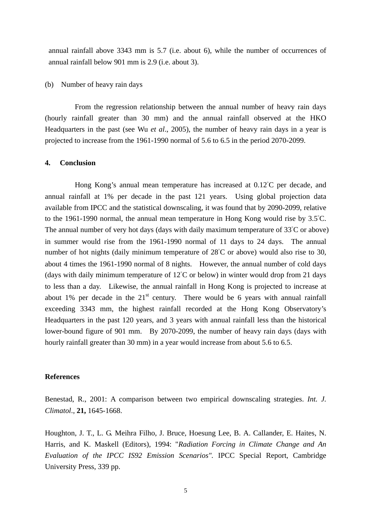annual rainfall above 3343 mm is 5.7 (i.e. about 6), while the number of occurrences of annual rainfall below 901 mm is 2.9 (i.e. about 3).

#### (b) Number of heavy rain days

From the regression relationship between the annual number of heavy rain days (hourly rainfall greater than 30 mm) and the annual rainfall observed at the HKO Headquarters in the past (see Wu *et al*., 2005), the number of heavy rain days in a year is projected to increase from the 1961-1990 normal of 5.6 to 6.5 in the period 2070-2099.

#### **4. Conclusion**

Hong Kong's annual mean temperature has increased at 0.12°C per decade, and annual rainfall at 1% per decade in the past 121 years. Using global projection data available from IPCC and the statistical downscaling, it was found that by 2090-2099, relative to the 1961-1990 normal, the annual mean temperature in Hong Kong would rise by 3.5°C. The annual number of very hot days (days with daily maximum temperature of 33<sup>°</sup>C or above) in summer would rise from the 1961-1990 normal of 11 days to 24 days. The annual number of hot nights (daily minimum temperature of 28°C or above) would also rise to 30, about 4 times the 1961-1990 normal of 8 nights. However, the annual number of cold days (days with daily minimum temperature of  $12^{\circ}$ C or below) in winter would drop from 21 days to less than a day. Likewise, the annual rainfall in Hong Kong is projected to increase at about 1% per decade in the  $21<sup>st</sup>$  century. There would be 6 years with annual rainfall exceeding 3343 mm, the highest rainfall recorded at the Hong Kong Observatory's Headquarters in the past 120 years, and 3 years with annual rainfall less than the historical lower-bound figure of 901 mm. By 2070-2099, the number of heavy rain days (days with hourly rainfall greater than 30 mm) in a year would increase from about 5.6 to 6.5.

#### **References**

Benestad, R., 2001: A comparison between two empirical downscaling strategies. *Int. J. Climatol*., **21,** 1645-1668.

Houghton, J. T., L. G. Meihra Filho, J. Bruce, Hoesung Lee, B. A. Callander, E. Haites, N. Harris, and K. Maskell (Editors), 1994: "*Radiation Forcing in Climate Change and An Evaluation of the IPCC IS92 Emission Scenarios".* IPCC Special Report, Cambridge University Press, 339 pp.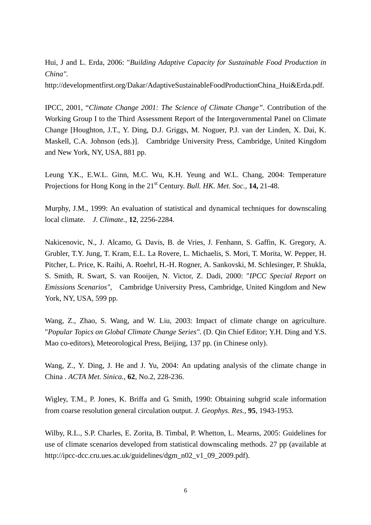Hui, J and L. Erda, 2006: "*Building Adaptive Capacity for Sustainable Food Production in China".*

http://developmentfirst.org/Dakar/AdaptiveSustainableFoodProductionChina\_Hui&Erda.pdf.

IPCC, 2001, "*Climate Change 2001: The Science of Climate Change"*. Contribution of the Working Group I to the Third Assessment Report of the Intergovernmental Panel on Climate Change [Houghton, J.T., Y. Ding, D.J. Griggs, M. Noguer, P.J. van der Linden, X. Dai, K. Maskell, C.A. Johnson (eds.)]. Cambridge University Press, Cambridge, United Kingdom and New York, NY, USA, 881 pp.

Leung Y.K., E.W.L. Ginn, M.C. Wu, K.H. Yeung and W.L. Chang, 2004: Temperature Projections for Hong Kong in the 21<sup>st</sup> Century. *Bull. HK. Met. Soc.*, **14,** 21-48.

Murphy, J.M., 1999: An evaluation of statistical and dynamical techniques for downscaling local climate. *J. Climate.*, **12**, 2256-2284.

Nakicenovic, N., J. Alcamo, G. Davis, B. de Vries, J. Fenhann, S. Gaffin, K. Gregory, A. Grubler, T.Y. Jung, T. Kram, E.L. La Rovere, L. Michaelis, S. Mori, T. Morita, W. Pepper, H. Pitcher, L. Price, K. Raihi, A. Roehrl, H.-H. Rogner, A. Sankovski, M. Schlesinger, P. Shukla, S. Smith, R. Swart, S. van Rooijen, N. Victor, Z. Dadi, 2000: "*IPCC Special Report on Emissions Scenarios",* Cambridge University Press, Cambridge, United Kingdom and New York, NY, USA, 599 pp.

Wang, Z., Zhao, S. Wang, and W. Liu, 2003: Impact of climate change on agriculture. "*Popular Topics on Global Climate Change Series"*. (D. Qin Chief Editor; Y.H. Ding and Y.S. Mao co-editors), Meteorological Press, Beijing, 137 pp. (in Chinese only).

Wang, Z., Y. Ding, J. He and J. Yu, 2004: An updating analysis of the climate change in China . *ACTA Met. Sinica.*, **62**, No.2, 228-236.

Wigley, T.M., P. Jones, K. Briffa and G. Smith, 1990: Obtaining subgrid scale information from coarse resolution general circulation output. *J. Geophys. Res.*, **95**, 1943-1953.

Wilby, R.L., S.P. Charles, E. Zorita, B. Timbal, P. Whetton, L. Mearns, 2005: Guidelines for use of climate scenarios developed from statistical downscaling methods. 27 pp (available at http://ipcc-dcc.cru.ues.ac.uk/guidelines/dgm\_n02\_v1\_09\_2009.pdf).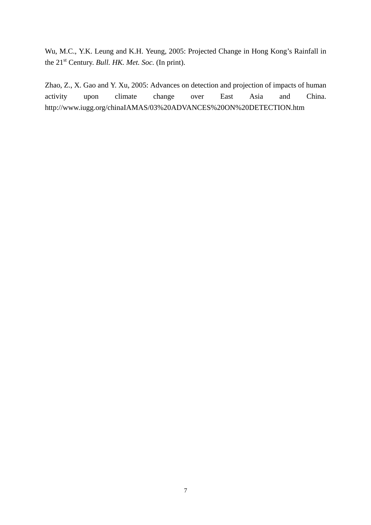Wu, M.C., Y.K. Leung and K.H. Yeung, 2005: Projected Change in Hong Kong's Rainfall in the 21st Century. *Bull. HK. Met. Soc.* (In print).

Zhao, Z., X. Gao and Y. Xu, 2005: Advances on detection and projection of impacts of human activity upon climate change over East Asia and China. http://www.iugg.org/chinaIAMAS/03%20ADVANCES%20ON%20DETECTION.htm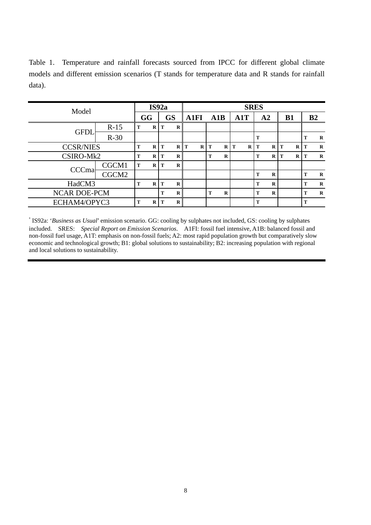Table 1. Temperature and rainfall forecasts sourced from IPCC for different global climate models and different emission scenarios (T stands for temperature data and R stands for rainfall data).

| Model               |        | IS92a |          |    |          | <b>SRES</b> |   |     |          |     |          |                |          |           |          |                |             |
|---------------------|--------|-------|----------|----|----------|-------------|---|-----|----------|-----|----------|----------------|----------|-----------|----------|----------------|-------------|
|                     |        | GG    |          | GS |          | <b>A1FI</b> |   | A1B |          | A1T |          | A <sub>2</sub> |          | <b>B1</b> |          | B <sub>2</sub> |             |
| <b>GFDI</b>         | $R-15$ | т     | $\bf{R}$ | Т  | R        |             |   |     |          |     |          |                |          |           |          |                |             |
|                     | $R-30$ |       |          |    |          |             |   |     |          |     |          | T              |          |           |          | T              | $\bf{R}$    |
| <b>CCSR/NIES</b>    |        | m     | $\bf{R}$ | т  | $\bf{R}$ | т           | R | T   | R        | T   | $\bf{R}$ | T              | R        | т         | R        | T              | $\mathbf R$ |
| CSIRO-Mk2           |        | m     | R        | Т  | R        |             |   | т   | R        |     |          | т              | $\bf{R}$ | T         | $\bf{R}$ | T              | $\mathbf R$ |
| <b>CCCmal</b>       | CGCM1  | T     | R        | т  | $\bf{R}$ |             |   |     |          |     |          |                |          |           |          |                |             |
|                     | CGCM2  |       |          |    |          |             |   |     |          |     |          | т              | R        |           |          | т              | $\mathbf R$ |
| HadCM3              |        | m     | R        | т  | R        |             |   |     |          |     |          | т              | R        |           |          | т              | $\bf R$     |
| <b>NCAR DOE-PCM</b> |        |       |          | т  | $\bf{R}$ |             |   | T   | $\bf{R}$ |     |          | т              | $\bf{R}$ |           |          | т              | $\bf{R}$    |
| ECHAM4/OPYC3        |        | m     | R        | m  | R        |             |   |     |          |     |          | T              |          |           |          | T              |             |

\* IS92a: '*Business as Usual*' emission scenario. GG: cooling by sulphates not included, GS: cooling by sulphates included. SRES: *Special Report on Emission Scenarios*. A1FI: fossil fuel intensive, A1B: balanced fossil and non-fossil fuel usage, A1T: emphasis on non-fossil fuels; A2: most rapid population growth but comparatively slow economic and technological growth; B1: global solutions to sustainability; B2: increasing population with regional and local solutions to sustainability.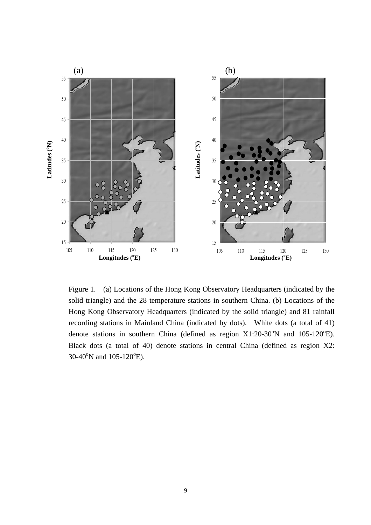

Figure 1. (a) Locations of the Hong Kong Observatory Headquarters (indicated by the solid triangle) and the 28 temperature stations in southern China. (b) Locations of the Hong Kong Observatory Headquarters (indicated by the solid triangle) and 81 rainfall recording stations in Mainland China (indicated by dots). White dots (a total of 41) denote stations in southern China (defined as region  $X1:20-30^{\circ}N$  and  $105-120^{\circ}E$ ). Black dots (a total of 40) denote stations in central China (defined as region X2:  $30-40^{\circ}$ N and  $105-120^{\circ}$ E).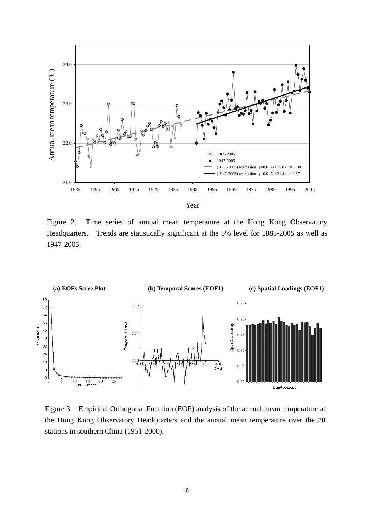

Figure 2. Time series of annual mean temperature at the Hong Kong Observatory Headquarters. Trends are statistically significant at the 5% level for 1885-2005 as well as 1947-2005.



Figure 3. Empirical Orthogonal Function (EOF) analysis of the annual mean temperature at the Hong Kong Observatory Headquarters and the annual mean temperature over the 28 stations in southern China (1951-2000).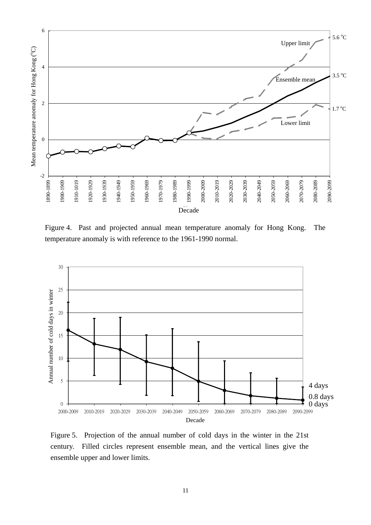

Figure 4. Past and projected annual mean temperature anomaly for Hong Kong. The temperature anomaly is with reference to the 1961-1990 normal.



Figure 5. Projection of the annual number of cold days in the winter in the 21st century. Filled circles represent ensemble mean, and the vertical lines give the ensemble upper and lower limits.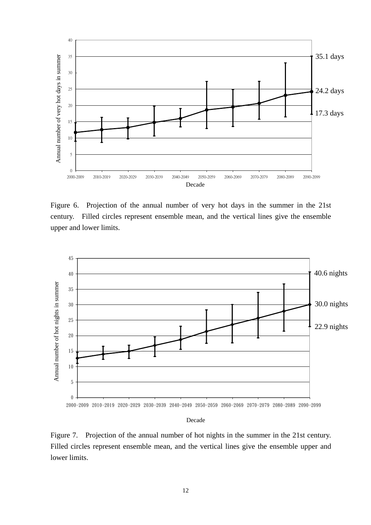

Figure 6. Projection of the annual number of very hot days in the summer in the 21st century. Filled circles represent ensemble mean, and the vertical lines give the ensemble upper and lower limits.



#### Decade

Figure 7. Projection of the annual number of hot nights in the summer in the 21st century. Filled circles represent ensemble mean, and the vertical lines give the ensemble upper and lower limits.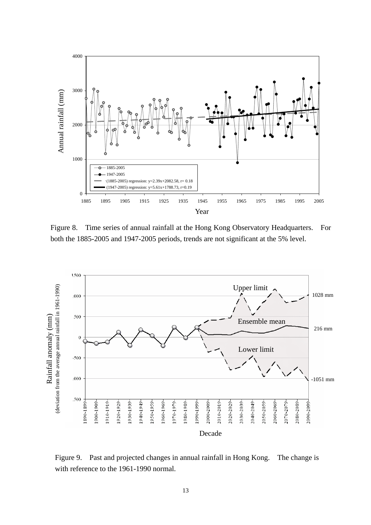

Figure 8. Time series of annual rainfall at the Hong Kong Observatory Headquarters. For both the 1885-2005 and 1947-2005 periods, trends are not significant at the 5% level.



Figure 9. Past and projected changes in annual rainfall in Hong Kong. The change is with reference to the 1961-1990 normal.